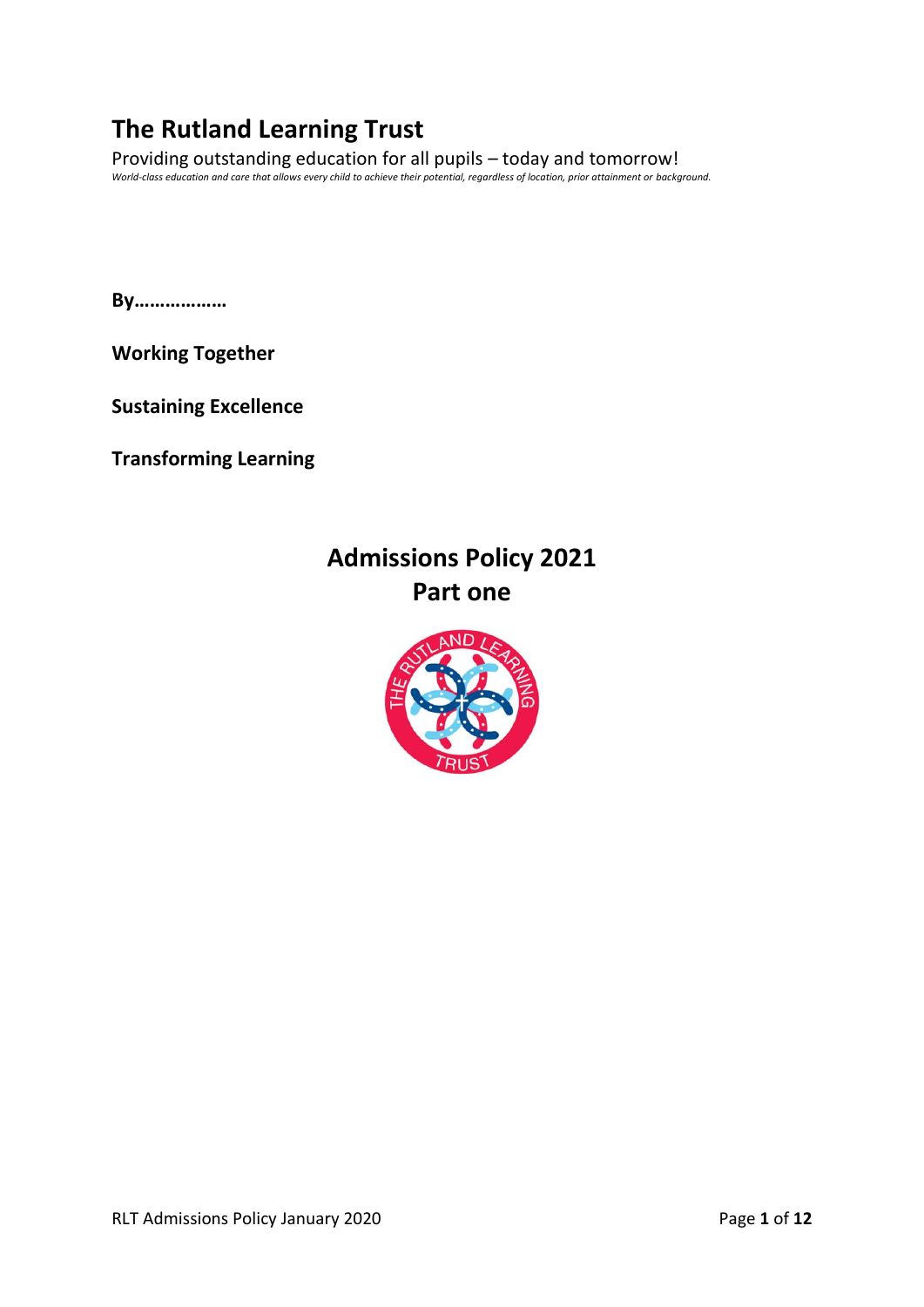# **The Rutland Learning Trust**

Providing outstanding education for all pupils – today and tomorrow! *World-class education and care that allows every child to achieve their potential, regardless of location, prior attainment or background.*

**By………………**

**Working Together**

**Sustaining Excellence**

**Transforming Learning**

# **Admissions Policy 2021 Part one**

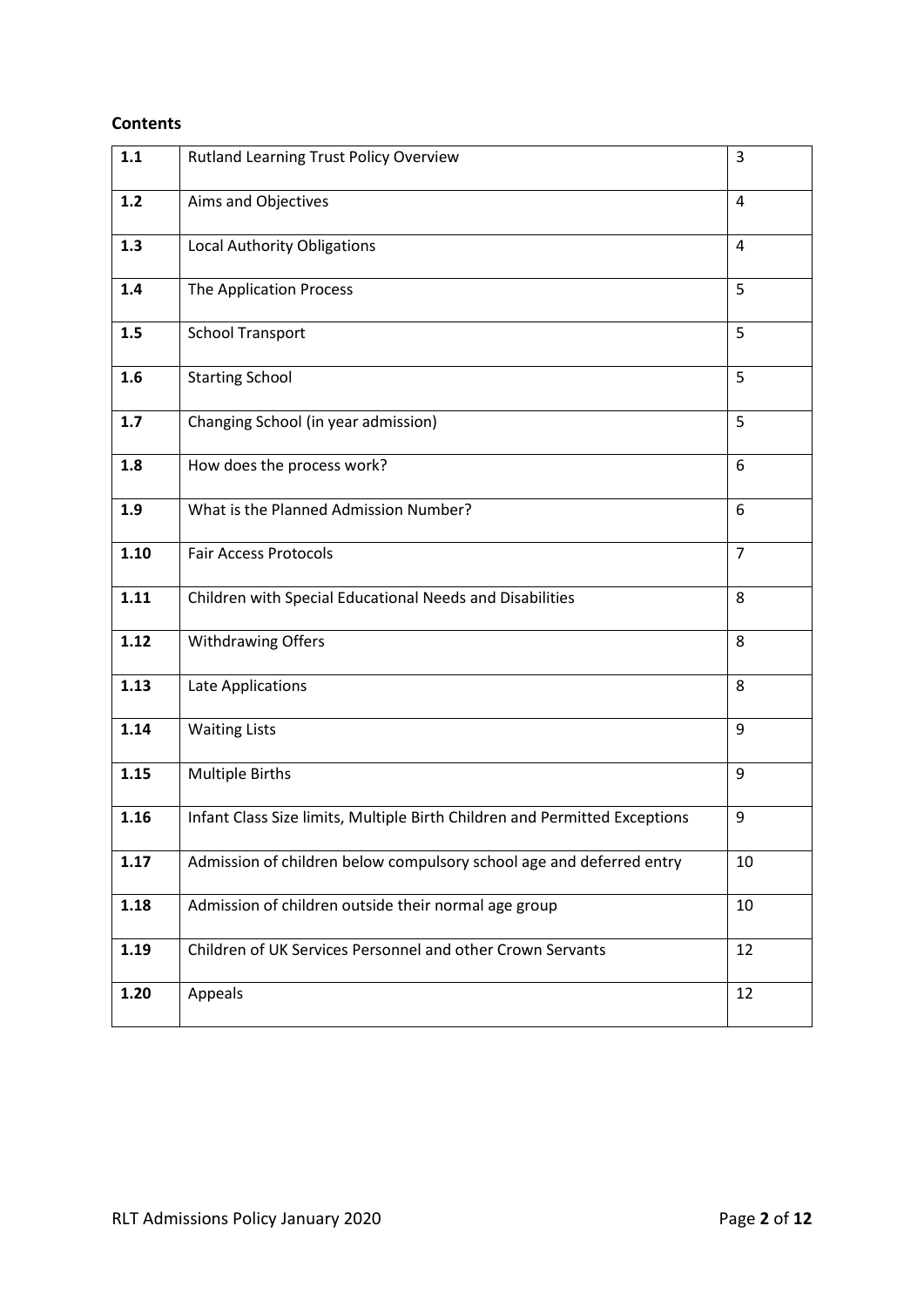# **Contents**

| 1.1   | <b>Rutland Learning Trust Policy Overview</b>                              | 3              |
|-------|----------------------------------------------------------------------------|----------------|
| $1.2$ | Aims and Objectives                                                        | $\overline{4}$ |
| 1.3   | <b>Local Authority Obligations</b>                                         | 4              |
| 1.4   | The Application Process                                                    | 5              |
| 1.5   | <b>School Transport</b>                                                    | 5              |
| 1.6   | <b>Starting School</b>                                                     | 5              |
| 1.7   | Changing School (in year admission)                                        | 5              |
| 1.8   | How does the process work?                                                 | 6              |
| 1.9   | What is the Planned Admission Number?                                      | 6              |
| 1.10  | <b>Fair Access Protocols</b>                                               | $\overline{7}$ |
| 1.11  | Children with Special Educational Needs and Disabilities                   | 8              |
| 1.12  | <b>Withdrawing Offers</b>                                                  | 8              |
| 1.13  | Late Applications                                                          | 8              |
| 1.14  | <b>Waiting Lists</b>                                                       | 9              |
| 1.15  | <b>Multiple Births</b>                                                     | 9              |
| 1.16  | Infant Class Size limits, Multiple Birth Children and Permitted Exceptions | 9              |
| 1.17  | Admission of children below compulsory school age and deferred entry       | 10             |
| 1.18  | Admission of children outside their normal age group                       | 10             |
| 1.19  | Children of UK Services Personnel and other Crown Servants                 | 12             |
| 1.20  | Appeals                                                                    | 12             |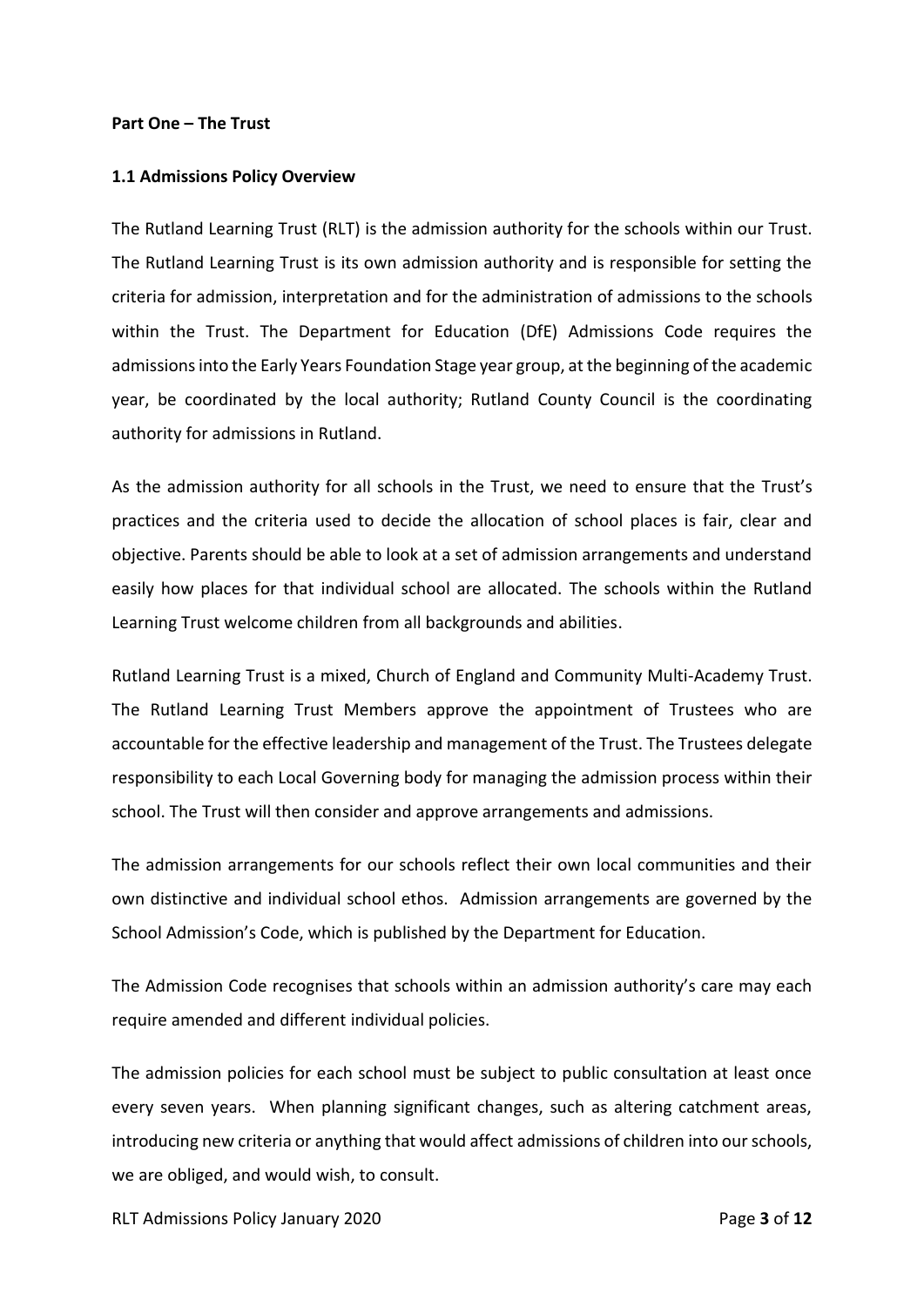## **Part One – The Trust**

#### **1.1 Admissions Policy Overview**

The Rutland Learning Trust (RLT) is the admission authority for the schools within our Trust. The Rutland Learning Trust is its own admission authority and is responsible for setting the criteria for admission, interpretation and for the administration of admissions to the schools within the Trust. The Department for Education (DfE) Admissions Code requires the admissions into the Early Years Foundation Stage year group, at the beginning of the academic year, be coordinated by the local authority; Rutland County Council is the coordinating authority for admissions in Rutland.

As the admission authority for all schools in the Trust, we need to ensure that the Trust's practices and the criteria used to decide the allocation of school places is fair, clear and objective. Parents should be able to look at a set of admission arrangements and understand easily how places for that individual school are allocated. The schools within the Rutland Learning Trust welcome children from all backgrounds and abilities.

Rutland Learning Trust is a mixed, Church of England and Community Multi-Academy Trust. The Rutland Learning Trust Members approve the appointment of Trustees who are accountable for the effective leadership and management of the Trust. The Trustees delegate responsibility to each Local Governing body for managing the admission process within their school. The Trust will then consider and approve arrangements and admissions.

The admission arrangements for our schools reflect their own local communities and their own distinctive and individual school ethos. Admission arrangements are governed by the School Admission's Code, which is published by the Department for Education.

The Admission Code recognises that schools within an admission authority's care may each require amended and different individual policies.

The admission policies for each school must be subject to public consultation at least once every seven years. When planning significant changes, such as altering catchment areas, introducing new criteria or anything that would affect admissions of children into our schools, we are obliged, and would wish, to consult.

RLT Admissions Policy January 2020 Page **3** of **12**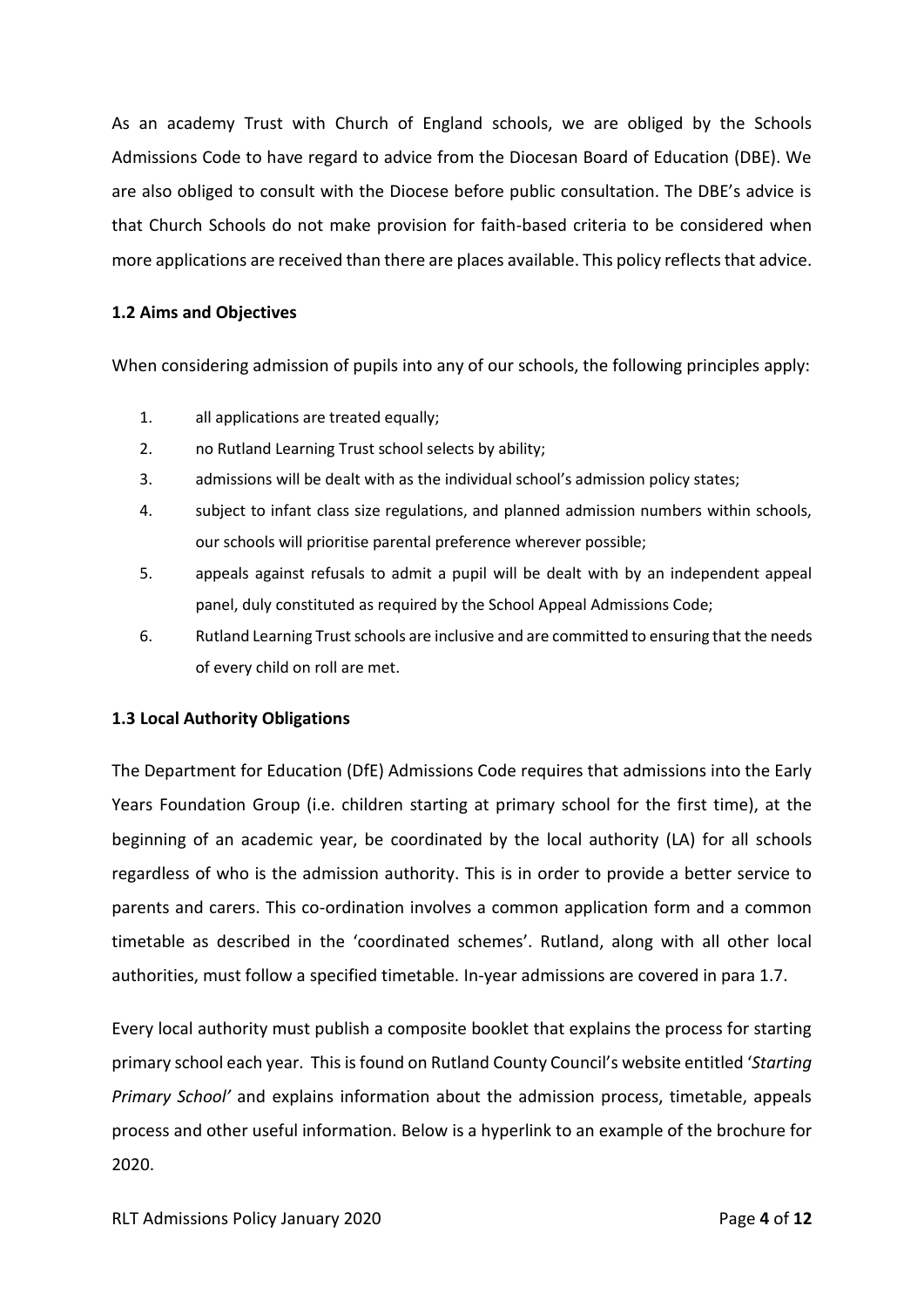As an academy Trust with Church of England schools, we are obliged by the Schools Admissions Code to have regard to advice from the Diocesan Board of Education (DBE). We are also obliged to consult with the Diocese before public consultation. The DBE's advice is that Church Schools do not make provision for faith-based criteria to be considered when more applications are received than there are places available. This policy reflects that advice.

# **1.2 Aims and Objectives**

When considering admission of pupils into any of our schools, the following principles apply:

- 1. all applications are treated equally;
- 2. no Rutland Learning Trust school selects by ability;
- 3. admissions will be dealt with as the individual school's admission policy states;
- 4. subject to infant class size regulations, and planned admission numbers within schools, our schools will prioritise parental preference wherever possible;
- 5. appeals against refusals to admit a pupil will be dealt with by an independent appeal panel, duly constituted as required by the School Appeal Admissions Code;
- 6. Rutland Learning Trust schools are inclusive and are committed to ensuring that the needs of every child on roll are met.

## **1.3 Local Authority Obligations**

The Department for Education (DfE) Admissions Code requires that admissions into the Early Years Foundation Group (i.e. children starting at primary school for the first time), at the beginning of an academic year, be coordinated by the local authority (LA) for all schools regardless of who is the admission authority. This is in order to provide a better service to parents and carers. This co-ordination involves a common application form and a common timetable as described in the 'coordinated schemes'. Rutland, along with all other local authorities, must follow a specified timetable. In-year admissions are covered in para 1.7.

Every local authority must publish a composite booklet that explains the process for starting primary school each year. Thisis found on Rutland County Council's website entitled '*Starting Primary School'* and explains information about the admission process, timetable, appeals process and other useful information. Below is a hyperlink to an example of the brochure for 2020.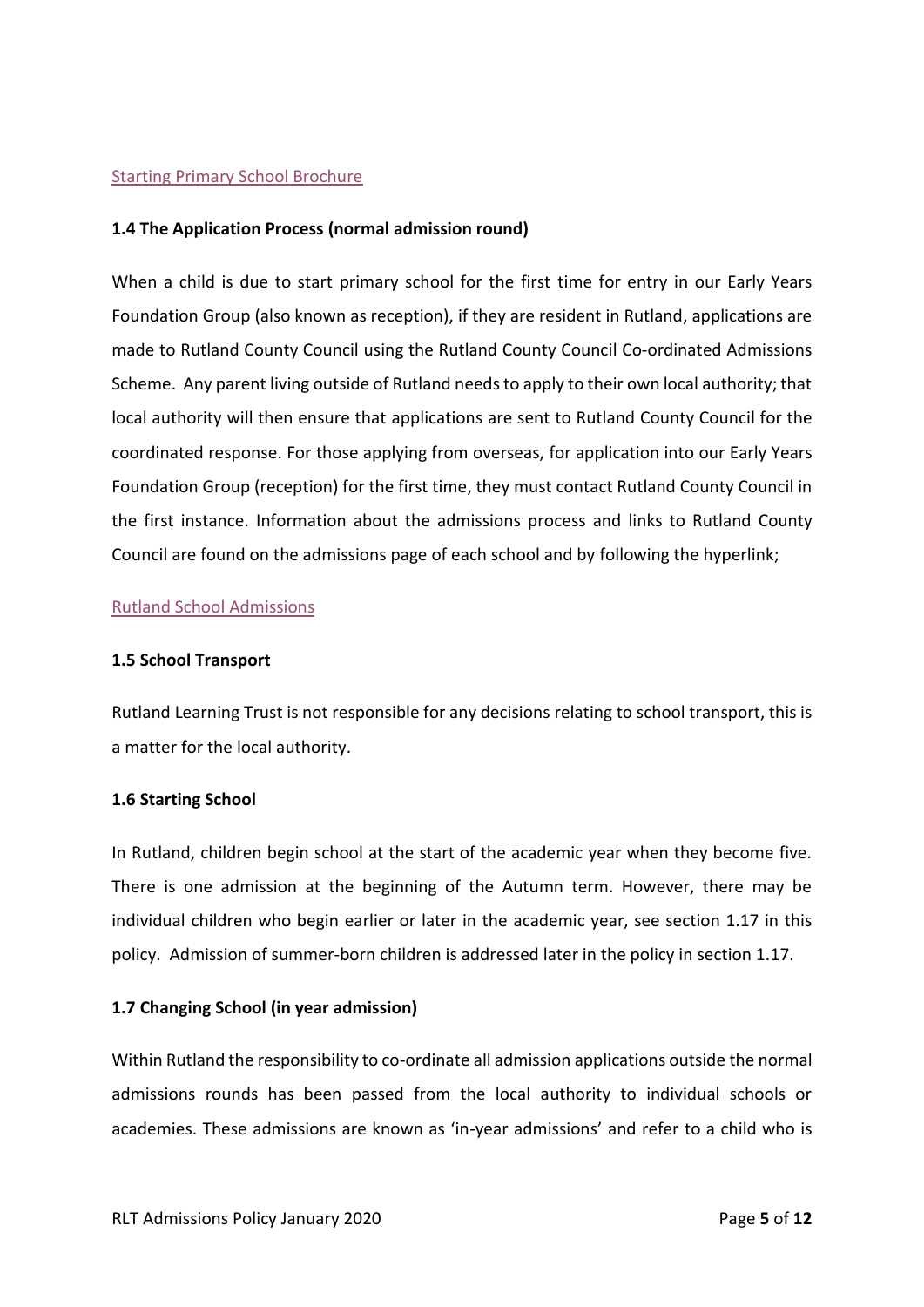## [Starting Primary School Brochure](file:///H:/Downloads/Starting%20Primary%20School%20brochure%20Sept%202020%20final%20website%20(5).pdf)

## **1.4 The Application Process (normal admission round)**

When a child is due to start primary school for the first time for entry in our Early Years Foundation Group (also known as reception), if they are resident in Rutland, applications are made to Rutland County Council using the Rutland County Council Co-ordinated Admissions Scheme. Any parent living outside of Rutland needs to apply to their own local authority; that local authority will then ensure that applications are sent to Rutland County Council for the coordinated response. For those applying from overseas, for application into our Early Years Foundation Group (reception) for the first time, they must contact Rutland County Council in the first instance. Information about the admissions process and links to Rutland County Council are found on the admissions page of each school and by following the hyperlink;

## [Rutland School Admissions](https://www.rutland.gov.uk/my-services/schools-education-and-learning/school-admissions/starting-primary-school-in-september-2020/)

#### **1.5 School Transport**

Rutland Learning Trust is not responsible for any decisions relating to school transport, this is a matter for the local authority.

#### **1.6 Starting School**

In Rutland, children begin school at the start of the academic year when they become five. There is one admission at the beginning of the Autumn term. However, there may be individual children who begin earlier or later in the academic year, see section 1.17 in this policy. Admission of summer-born children is addressed later in the policy in section 1.17.

## **1.7 Changing School (in year admission)**

Within Rutland the responsibility to co-ordinate all admission applications outside the normal admissions rounds has been passed from the local authority to individual schools or academies. These admissions are known as 'in-year admissions' and refer to a child who is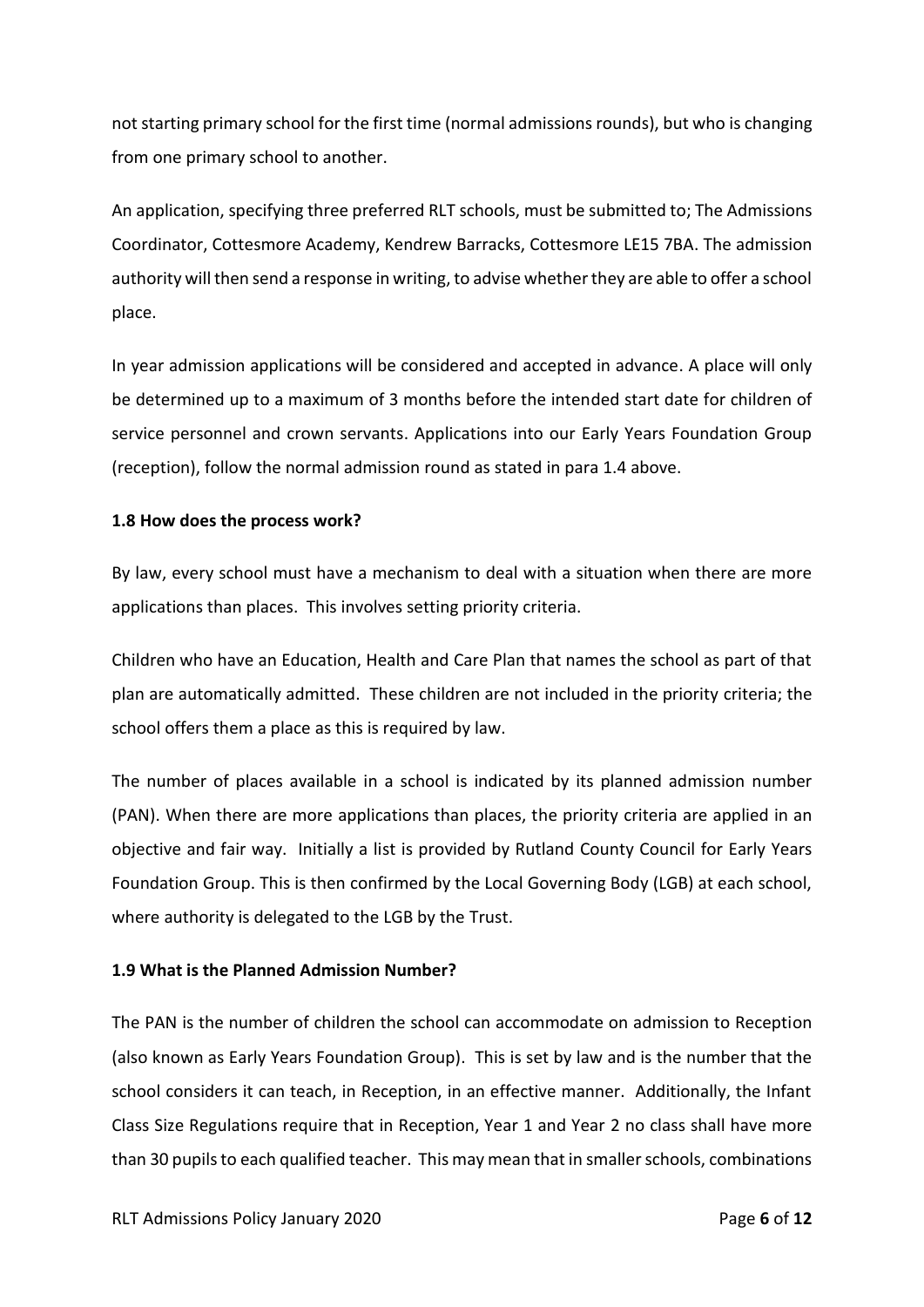not starting primary school for the first time (normal admissions rounds), but who is changing from one primary school to another.

An application, specifying three preferred RLT schools, must be submitted to; The Admissions Coordinator, Cottesmore Academy, Kendrew Barracks, Cottesmore LE15 7BA. The admission authority will then send a response in writing, to advise whether they are able to offer a school place.

In year admission applications will be considered and accepted in advance. A place will only be determined up to a maximum of 3 months before the intended start date for children of service personnel and crown servants. Applications into our Early Years Foundation Group (reception), follow the normal admission round as stated in para 1.4 above.

# **1.8 How does the process work?**

By law, every school must have a mechanism to deal with a situation when there are more applications than places. This involves setting priority criteria.

Children who have an Education, Health and Care Plan that names the school as part of that plan are automatically admitted. These children are not included in the priority criteria; the school offers them a place as this is required by law.

The number of places available in a school is indicated by its planned admission number (PAN). When there are more applications than places, the priority criteria are applied in an objective and fair way. Initially a list is provided by Rutland County Council for Early Years Foundation Group. This is then confirmed by the Local Governing Body (LGB) at each school, where authority is delegated to the LGB by the Trust.

# **1.9 What is the Planned Admission Number?**

The PAN is the number of children the school can accommodate on admission to Reception (also known as Early Years Foundation Group). This is set by law and is the number that the school considers it can teach, in Reception, in an effective manner. Additionally, the Infant Class Size Regulations require that in Reception, Year 1 and Year 2 no class shall have more than 30 pupils to each qualified teacher. This may mean that in smaller schools, combinations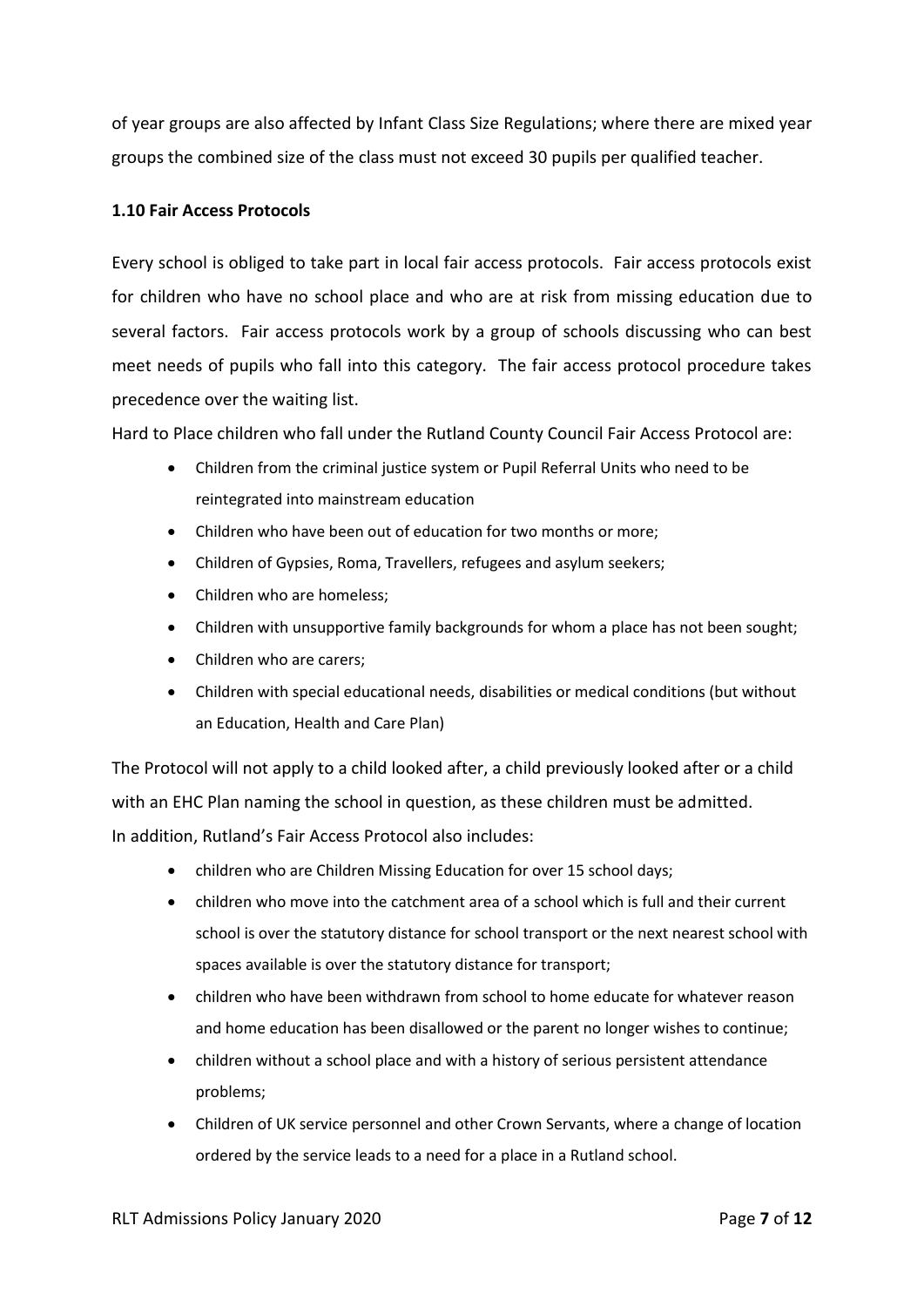of year groups are also affected by Infant Class Size Regulations; where there are mixed year groups the combined size of the class must not exceed 30 pupils per qualified teacher.

# **1.10 Fair Access Protocols**

Every school is obliged to take part in local fair access protocols. Fair access protocols exist for children who have no school place and who are at risk from missing education due to several factors. Fair access protocols work by a group of schools discussing who can best meet needs of pupils who fall into this category. The fair access protocol procedure takes precedence over the waiting list.

Hard to Place children who fall under the Rutland County Council Fair Access Protocol are:

- Children from the criminal justice system or Pupil Referral Units who need to be reintegrated into mainstream education
- Children who have been out of education for two months or more;
- Children of Gypsies, Roma, Travellers, refugees and asylum seekers;
- Children who are homeless:
- Children with unsupportive family backgrounds for whom a place has not been sought;
- Children who are carers;
- Children with special educational needs, disabilities or medical conditions (but without an Education, Health and Care Plan)

The Protocol will not apply to a child looked after, a child previously looked after or a child with an EHC Plan naming the school in question, as these children must be admitted. In addition, Rutland's Fair Access Protocol also includes:

- children who are Children Missing Education for over 15 school days;
- children who move into the catchment area of a school which is full and their current school is over the statutory distance for school transport or the next nearest school with spaces available is over the statutory distance for transport;
- children who have been withdrawn from school to home educate for whatever reason and home education has been disallowed or the parent no longer wishes to continue;
- children without a school place and with a history of serious persistent attendance problems;
- Children of UK service personnel and other Crown Servants, where a change of location ordered by the service leads to a need for a place in a Rutland school.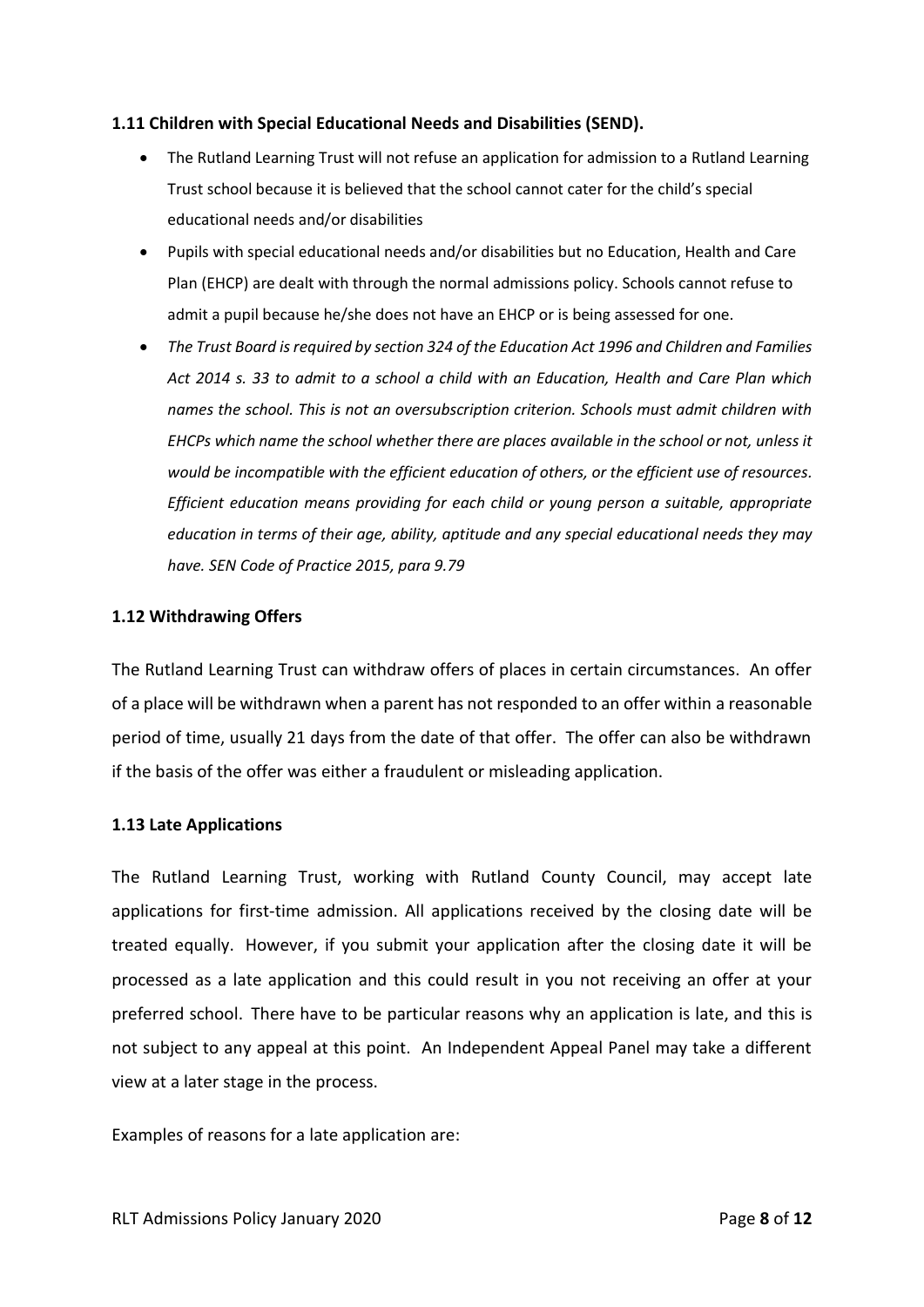## **1.11 Children with Special Educational Needs and Disabilities (SEND).**

- The Rutland Learning Trust will not refuse an application for admission to a Rutland Learning Trust school because it is believed that the school cannot cater for the child's special educational needs and/or disabilities
- Pupils with special educational needs and/or disabilities but no Education, Health and Care Plan (EHCP) are dealt with through the normal admissions policy. Schools cannot refuse to admit a pupil because he/she does not have an EHCP or is being assessed for one.
- *The Trust Board is required by section 324 of the Education Act 1996 and Children and Families Act 2014 s. 33 to admit to a school a child with an Education, Health and Care Plan which names the school. This is not an oversubscription criterion. Schools must admit children with EHCPs which name the school whether there are places available in the school or not, unless it would be incompatible with the efficient education of others, or the efficient use of resources. Efficient education means providing for each child or young person a suitable, appropriate education in terms of their age, ability, aptitude and any special educational needs they may have. SEN Code of Practice 2015, para 9.79*

## **1.12 Withdrawing Offers**

The Rutland Learning Trust can withdraw offers of places in certain circumstances. An offer of a place will be withdrawn when a parent has not responded to an offer within a reasonable period of time, usually 21 days from the date of that offer. The offer can also be withdrawn if the basis of the offer was either a fraudulent or misleading application.

#### **1.13 Late Applications**

The Rutland Learning Trust, working with Rutland County Council, may accept late applications for first-time admission. All applications received by the closing date will be treated equally. However, if you submit your application after the closing date it will be processed as a late application and this could result in you not receiving an offer at your preferred school. There have to be particular reasons why an application is late, and this is not subject to any appeal at this point. An Independent Appeal Panel may take a different view at a later stage in the process.

Examples of reasons for a late application are: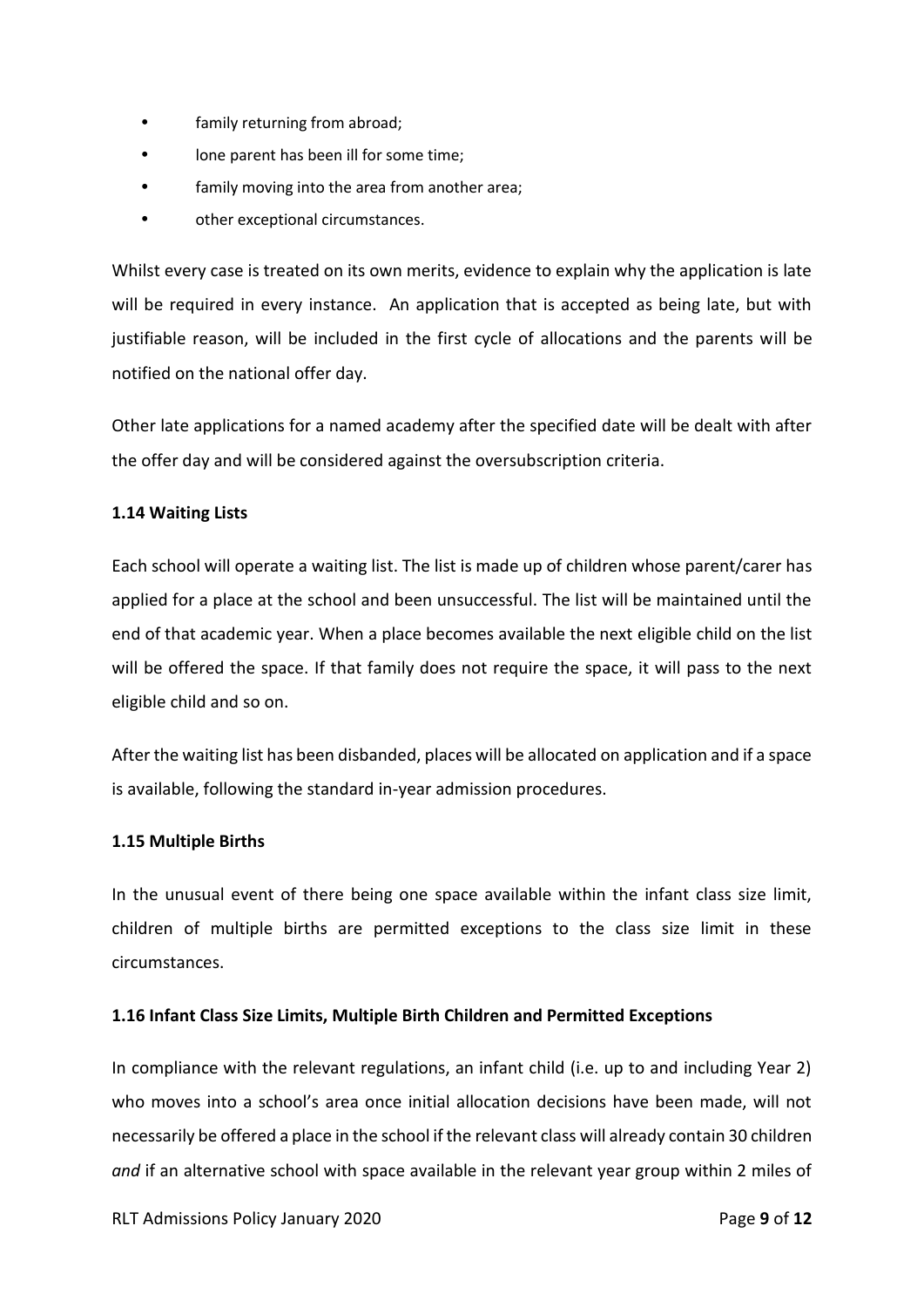- family returning from abroad;
- lone parent has been ill for some time;
- family moving into the area from another area;
- other exceptional circumstances.

Whilst every case is treated on its own merits, evidence to explain why the application is late will be required in every instance. An application that is accepted as being late, but with justifiable reason, will be included in the first cycle of allocations and the parents will be notified on the national offer day.

Other late applications for a named academy after the specified date will be dealt with after the offer day and will be considered against the oversubscription criteria.

## **1.14 Waiting Lists**

Each school will operate a waiting list. The list is made up of children whose parent/carer has applied for a place at the school and been unsuccessful. The list will be maintained until the end of that academic year. When a place becomes available the next eligible child on the list will be offered the space. If that family does not require the space, it will pass to the next eligible child and so on.

After the waiting list has been disbanded, places will be allocated on application and if a space is available, following the standard in-year admission procedures.

## **1.15 Multiple Births**

In the unusual event of there being one space available within the infant class size limit, children of multiple births are permitted exceptions to the class size limit in these circumstances.

## **1.16 Infant Class Size Limits, Multiple Birth Children and Permitted Exceptions**

In compliance with the relevant regulations, an infant child (i.e. up to and including Year 2) who moves into a school's area once initial allocation decisions have been made, will not necessarily be offered a place in the school if the relevant class will already contain 30 children *and* if an alternative school with space available in the relevant year group within 2 miles of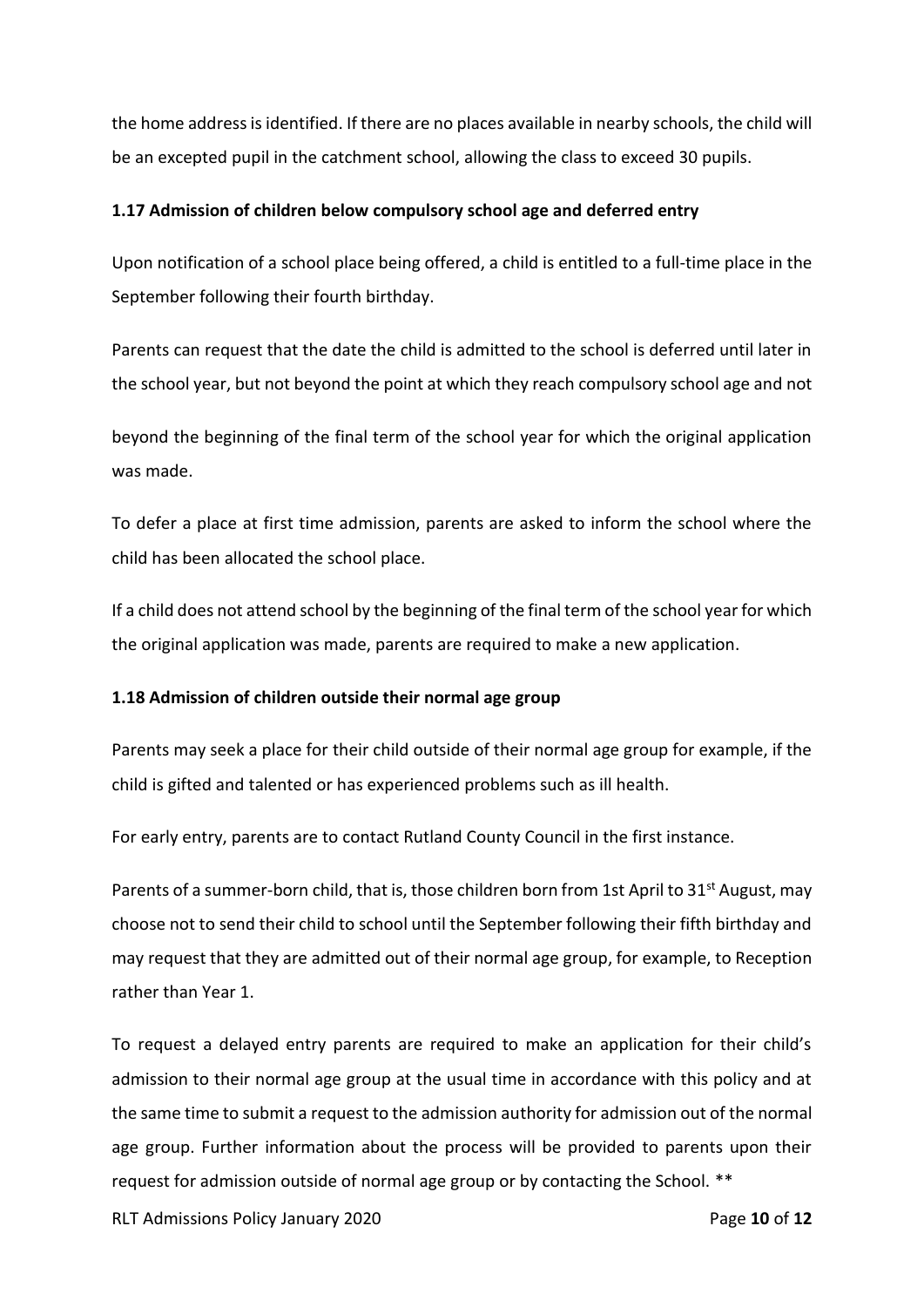the home address is identified. If there are no places available in nearby schools, the child will be an excepted pupil in the catchment school, allowing the class to exceed 30 pupils.

## **1.17 Admission of children below compulsory school age and deferred entry**

Upon notification of a school place being offered, a child is entitled to a full-time place in the September following their fourth birthday.

Parents can request that the date the child is admitted to the school is deferred until later in the school year, but not beyond the point at which they reach compulsory school age and not

beyond the beginning of the final term of the school year for which the original application was made.

To defer a place at first time admission, parents are asked to inform the school where the child has been allocated the school place.

If a child does not attend school by the beginning of the final term of the school year for which the original application was made, parents are required to make a new application.

## **1.18 Admission of children outside their normal age group**

Parents may seek a place for their child outside of their normal age group for example, if the child is gifted and talented or has experienced problems such as ill health.

For early entry, parents are to contact Rutland County Council in the first instance.

Parents of a summer-born child, that is, those children born from 1st April to 31<sup>st</sup> August, may choose not to send their child to school until the September following their fifth birthday and may request that they are admitted out of their normal age group, for example, to Reception rather than Year 1.

To request a delayed entry parents are required to make an application for their child's admission to their normal age group at the usual time in accordance with this policy and at the same time to submit a request to the admission authority for admission out of the normal age group. Further information about the process will be provided to parents upon their request for admission outside of normal age group or by contacting the School. \*\*

RLT Admissions Policy January 2020 Page **10** of **12**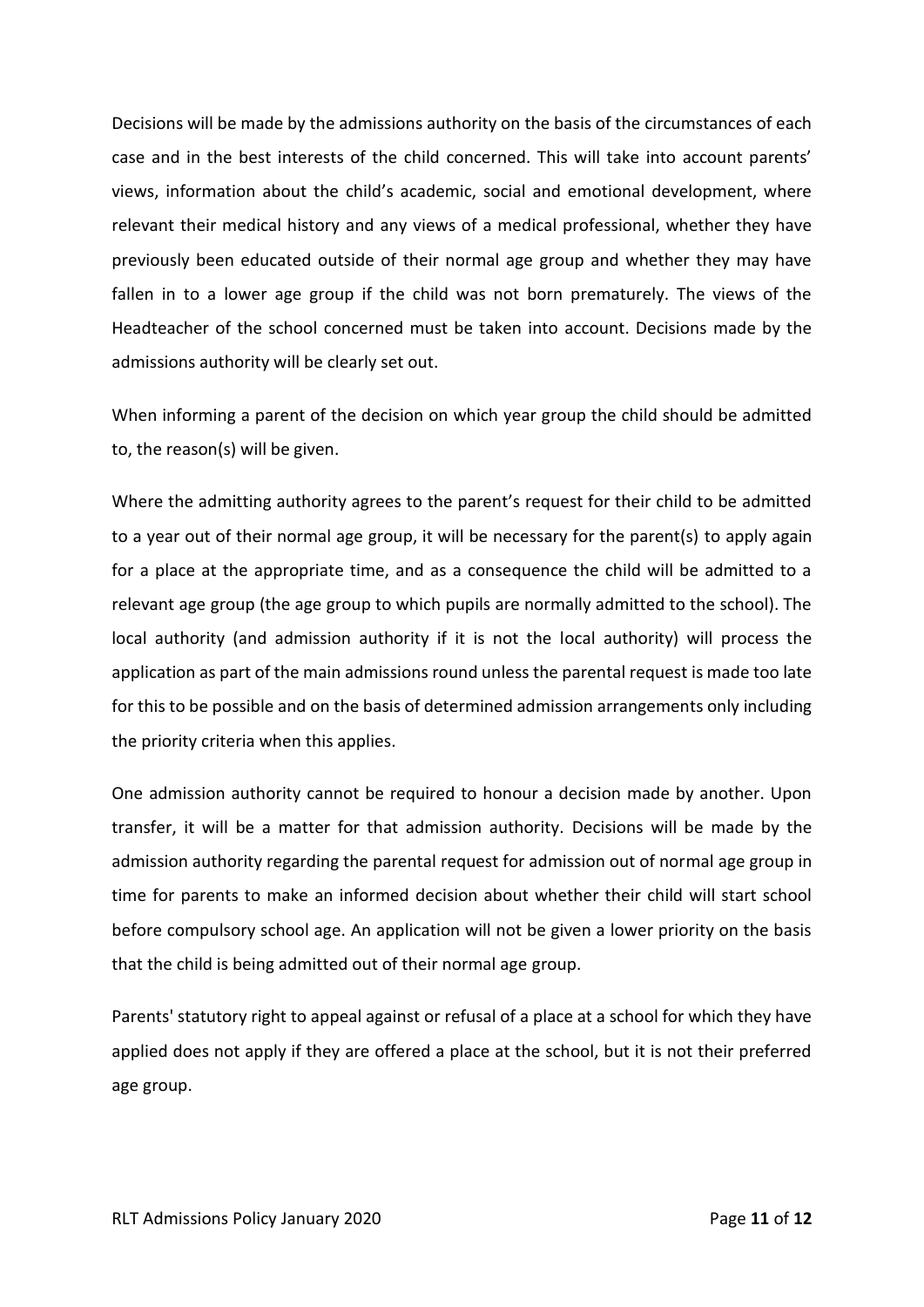Decisions will be made by the admissions authority on the basis of the circumstances of each case and in the best interests of the child concerned. This will take into account parents' views, information about the child's academic, social and emotional development, where relevant their medical history and any views of a medical professional, whether they have previously been educated outside of their normal age group and whether they may have fallen in to a lower age group if the child was not born prematurely. The views of the Headteacher of the school concerned must be taken into account. Decisions made by the admissions authority will be clearly set out.

When informing a parent of the decision on which year group the child should be admitted to, the reason(s) will be given.

Where the admitting authority agrees to the parent's request for their child to be admitted to a year out of their normal age group, it will be necessary for the parent(s) to apply again for a place at the appropriate time, and as a consequence the child will be admitted to a relevant age group (the age group to which pupils are normally admitted to the school). The local authority (and admission authority if it is not the local authority) will process the application as part of the main admissions round unless the parental request is made too late for this to be possible and on the basis of determined admission arrangements only including the priority criteria when this applies.

One admission authority cannot be required to honour a decision made by another. Upon transfer, it will be a matter for that admission authority. Decisions will be made by the admission authority regarding the parental request for admission out of normal age group in time for parents to make an informed decision about whether their child will start school before compulsory school age. An application will not be given a lower priority on the basis that the child is being admitted out of their normal age group.

Parents' statutory right to appeal against or refusal of a place at a school for which they have applied does not apply if they are offered a place at the school, but it is not their preferred age group.